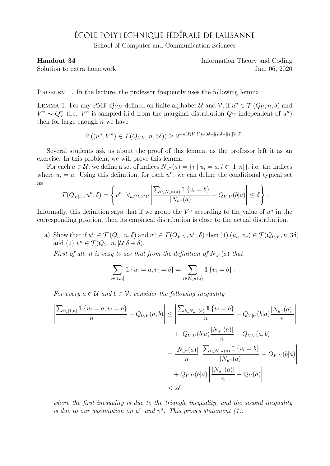## ÉCOLE POLYTECHNIQUE FÉDÉRALE DE LAUSANNE

School of Computer and Communication Sciences

| Handout 34                 | Information Theory and Coding |
|----------------------------|-------------------------------|
| Solution to extra homework | Jan. 06, 2020                 |

PROBLEM 1. In the lecture, the professor frequently uses the following lemma:

LEMMA 1. For any PMF  $Q_{U,V}$  defined on finite alphabet U and V, if  $u^n \in \mathcal{T}(Q_U, n, \delta)$  and  $V^n \sim Q_V^n$  (i.e.  $V^n$  is sampled i.i.d from the marginal distribution  $Q_V$  independent of  $u^n$ ) then for large enough  $n$  we have

$$
\mathbb{P}\left((u^n, V^n) \in \mathcal{T}(Q_{U,V}, n, 3\delta)\right) \ge 2^{-n(I(V;U) - 3\delta - |\mathcal{U}|\delta - |\mathcal{U}||\mathcal{V}|\delta)}.
$$

Several students ask us about the proof of this lemma, as the professor left it as an exercise. In this problem, we will prove this lemma.

For each  $a \in \mathcal{U}$ , we define a set of indices  $N_{u^n}(a) = \{i \mid u_i = a, i \in [1, n]\}\)$ , i.e. the indices where  $u_i = a$ . Using this definition, for each  $u^n$ , we can define the conditional typical set as

$$
\mathcal{T}(Q_{V|U},u^n,\delta)=\left\{v^n\left|\forall_{a\in\mathcal{U},b\in\mathcal{V}}\left|\frac{\sum_{i\in N_{u^n}(a)}\mathbb{1}\left\{v_i=b\right\}}{|N_{u^n}(a)|}-Q_{V|U}(b|a)\right|\leq\delta\right\}.
$$

Informally, this definition says that if we group the  $V<sup>n</sup>$  according to the value of  $u<sup>n</sup>$  in the corresponding position, then its empirical distribution is close to the actual distribution.

a) Show that if  $u^n \in \mathcal{T}(Q_U, n, \delta)$  and  $v^n \in \mathcal{T}(Q_{V|U}, u^n, \delta)$  then  $(1)$   $(u_n, v_n) \in \mathcal{T}(Q_{U,V}, n, 3\delta)$ and (2)  $v^n \in \mathcal{T}(Q_V, n, |\mathcal{U}|\delta + \delta).$ 

First of all, it is easy to see that from the definition of  $N_{u^n}(a)$  that

$$
\sum_{i \in [1,n]} \mathbb{1} \{ u_i = a, v_i = b \} = \sum_{i \in N_{u^n}(a)} \mathbb{1} \{ v_i = b \}.
$$

For every  $a \in \mathcal{U}$  and  $b \in \mathcal{V}$ , consider the following inequality

$$
\left| \frac{\sum_{i \in [1,n]} \mathbb{1} \{ u_i = a, v_i = b \}}{n} - Q_{U,V}(a, b) \right| \le \left| \frac{\sum_{i \in N_{u^n}(a)} \mathbb{1} \{ v_i = b \}}{n} - Q_{V|U}(b|a) \frac{|N_{u^n}(a)|}{n} \right| + \left| Q_{V|U}(b|a) \frac{|N_{u^n}(a)|}{n} - Q_{U,V}(a, b) \right|
$$

$$
= \frac{|N_{u^n}(a)|}{n} \left| \frac{\sum_{i \in N_{u^n}(a)} \mathbb{1} \{ v_i = b \}}{|N_{u^n}(a)|} - Q_{V|U}(b|a) \right|
$$

$$
+ Q_{V|U}(b|a) \left| \frac{|N_{u^n}(a)|}{n} - Q_{U}(a) \right|
$$

$$
\le 2\delta
$$

where the first inequality is due to the triangle inequality, and the second inequality is due to our assumption on  $u^n$  and  $v^n$ . This proves statement (1).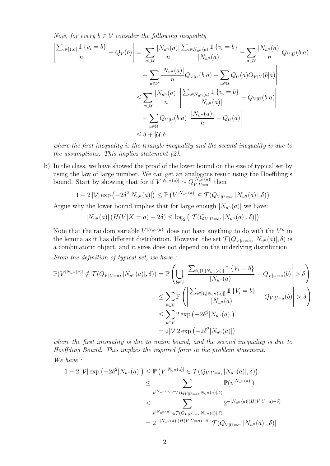Now, for every  $b \in V$  consider the following inequality

$$
\left| \frac{\sum_{i\in[1,n]} \mathbb{1}\left\{v_i = b\right\}}{n} - Q_V(b) \right| = \left| \sum_{a\in\mathcal{U}} \frac{|N_{u^n}(a)|}{n} \frac{\sum_{i\in N_{u^n}(a)} \mathbb{1}\left\{v_i = b\right\}}{|N_{u^n}(a)|} - \sum_{a\in\mathcal{U}} \frac{|N_{u^n}(a)|}{n} Q_{V|U}(b|a) \right|
$$
  
+ 
$$
\sum_{a\in\mathcal{U}} \frac{|N_{u^n}(a)|}{n} Q_{V|U}(b|a) - \sum_{a\in\mathcal{U}} Q_U(a) Q_{V|U}(b|a) \right|
$$
  

$$
\leq \sum_{a\in\mathcal{U}} \frac{|N_{u^n}(a)|}{n} \left| \frac{\sum_{i\in N_{u^n}(a)} \mathbb{1}\left\{v_i = b\right\}}{|N_{u^n}(a)|} - Q_{V|U}(b|a) \right|
$$
  
+ 
$$
\sum_{a\in\mathcal{U}} Q_{V|U}(b|a) \left| \frac{|N_{u^n}(a)|}{n} - Q_U(a) \right|
$$
  

$$
\leq \delta + |\mathcal{U}|\delta
$$

where the first inequality is the triangle inequality and the second inequality is due to the assumptions. This implies statement (2).

b) In the class, we have showed the proof of the lower bound on the size of typical set by using the law of large number. We can get an analogous result using the Hoeffding's bound. Start by showing that for if  $V^{\vert N_{un}(a)\vert} \sim Q_{V^{\vert}U^{\vert}I^{\vert}a}^{\vert N_{un}(a)\vert}$  $\frac{d|N_u n(a)|}{V|U=a}$  then

$$
1 - 2 |\mathcal{V}| \exp\left(-2\delta^2 |N_{u^n}(a)|\right) \leq \mathbb{P}\left(V^{|N_{u^n}(a)|} \in \mathcal{T}(Q_{V|U=a}, |N_{u^n}(a)|, \delta)\right)
$$

Argue why the lower bound implies that for large enough  $|N_{u^n}(a)|$  we have:

$$
|N_{u^n}(a)| (H(V|X = a) - 2\delta) \le \log_2 (|\mathcal{T}(Q_{V|U=a}, |N_{u^n}(a)|, \delta)|)
$$

Note that the random variable  $V^{|N_{u^n}(a)|}$  does not have anything to do with the  $V^n$  in the lemma as it has different distribution. However, the set  $\mathcal{T}(Q_{V | U=a_1} | N_{u^n}(a)|, \delta)$  is a combinatoric object, and it sizes does not depend on the underlying distribution. From the definition of typical set, we have :

$$
\mathbb{P}(V^{|N_{u^n}(a)|} \notin \mathcal{T}(Q_{V|U=a}, |N_{u^n}(a)|, \delta)) = \mathbb{P}\left(\bigcup_{b \in \mathcal{V}} \left| \frac{\sum_{i \in [1, |N_{u^n}(a)|]} \mathbb{1}\{V_i = b\}}{|N_{u^n}(a)|} - Q_{V|U=a}(b)| > \delta\right)\right|
$$
  

$$
\leq \sum_{b \in \mathcal{V}} \mathbb{P}\left(\left|\frac{\sum_{i \in [1, |N_{u^n}(a)|]} \mathbb{1}\{V_i = b\}}{|N_{u^n}(a)|} - Q_{V|U=a}(b)| > \delta\right)\right|
$$
  

$$
\leq \sum_{b \in \mathcal{V}} 2 \exp(-2\delta^2|N_{u^n}(a)|)
$$
  

$$
= 2|\mathcal{V}|2 \exp(-2\delta^2|N_{u^n}(a)|)
$$

where the first inequality is due to union bound, and the second inequality is due to Hoeffding Bound. This implies the required form in the problem statement. We have :

$$
1 - 2 |\mathcal{V}| \exp(-2\delta^{2}|N_{u^{n}}(a)|) \leq \mathbb{P}\left(V^{|N_{u^{n}}(a)|} \in \mathcal{T}(Q_{V|U=a}, |N_{u^{n}}(a)|, \delta)\right)
$$
  

$$
\leq \sum_{v^{|N_{u^{n}}(a)|} \in \mathcal{T}(Q_{V|U=a}, |N_{u^{n}}(a)|, \delta)} \mathbb{P}(v^{|N_{u^{n}}(a)|})
$$
  

$$
\leq \sum_{v^{|N_{u^{n}}(a)|} \in \mathcal{T}(Q_{V|U=a}, |N_{u^{n}}(a)|, \delta)} 2^{-|N_{u^{n}}(a)|\langle H(V|U=a) - \delta \rangle}
$$
  

$$
= 2^{-|N_{u^{n}}(a)|\langle H(V|U=a) - \delta \rangle} |\mathcal{T}(Q_{V|U=a}, |N_{u^{n}}(a)|, \delta)|
$$